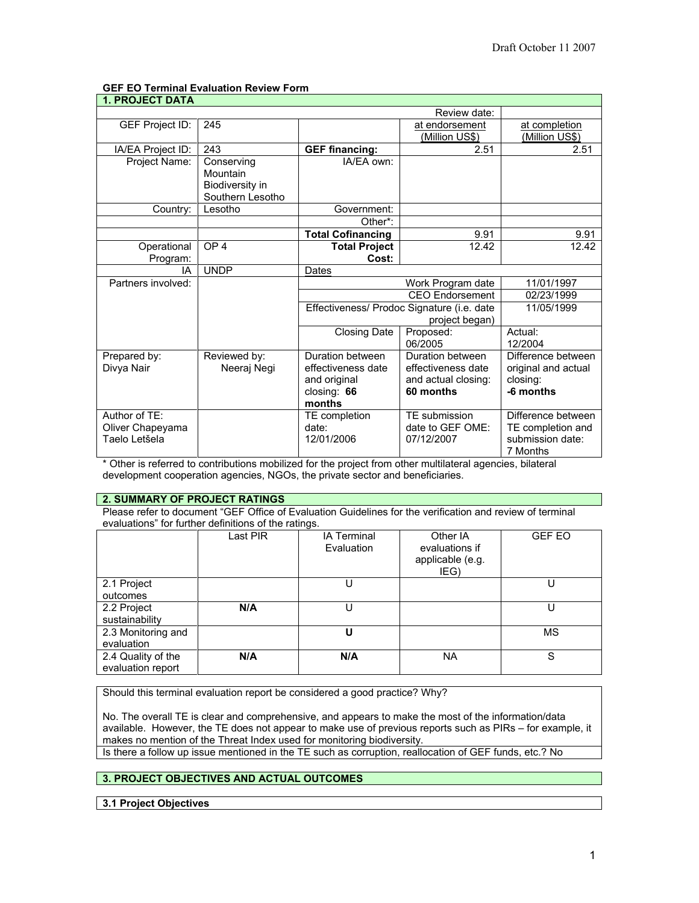# **GEF EO Terminal Evaluation Review Form**

| <b>1. PROJECT DATA</b> |                  |                                            |                       |                     |  |
|------------------------|------------------|--------------------------------------------|-----------------------|---------------------|--|
|                        | Review date:     |                                            |                       |                     |  |
| GEF Project ID:        | 245              |                                            | at endorsement        | at completion       |  |
|                        |                  |                                            | <u>(Million US\$)</u> | (Million US\$)      |  |
| IA/EA Project ID:      | 243              | <b>GEF financing:</b>                      | 2.51                  | 2.51                |  |
| Project Name:          | Conserving       | IA/EA own:                                 |                       |                     |  |
|                        | Mountain         |                                            |                       |                     |  |
|                        | Biodiversity in  |                                            |                       |                     |  |
|                        | Southern Lesotho |                                            |                       |                     |  |
| Country:               | Lesotho          | Government:                                |                       |                     |  |
|                        |                  | Other*:                                    |                       |                     |  |
|                        |                  | <b>Total Cofinancing</b>                   | 9.91                  | 9.91                |  |
| Operational            | OP <sub>4</sub>  | <b>Total Project</b>                       | 12.42                 | 12.42               |  |
| Program:               |                  | Cost:                                      |                       |                     |  |
| IA                     | <b>UNDP</b>      | Dates                                      |                       |                     |  |
| Partners involved:     |                  | Work Program date                          |                       | 11/01/1997          |  |
|                        |                  | <b>CEO</b> Endorsement                     |                       | 02/23/1999          |  |
|                        |                  | Effectiveness/ Prodoc Signature (i.e. date |                       | 11/05/1999          |  |
|                        |                  | project began)                             |                       |                     |  |
|                        |                  | <b>Closing Date</b>                        | Proposed:             | Actual:             |  |
|                        |                  |                                            | 06/2005               | 12/2004             |  |
| Prepared by:           | Reviewed by:     | Duration between                           | Duration between      | Difference between  |  |
| Divya Nair             | Neeraj Negi      | effectiveness date                         | effectiveness date    | original and actual |  |
|                        |                  | and original                               | and actual closing:   | closing:            |  |
|                        |                  | closing: $66$                              | 60 months             | -6 months           |  |
|                        |                  | months                                     |                       |                     |  |
| Author of TE:          |                  | TE completion                              | TE submission         | Difference between  |  |
| Oliver Chapeyama       |                  | date:                                      | date to GEF OME:      | TE completion and   |  |
| Taelo Letšela          |                  | 12/01/2006                                 | 07/12/2007            | submission date:    |  |
|                        |                  |                                            |                       | 7 Months            |  |

\* Other is referred to contributions mobilized for the project from other multilateral agencies, bilateral development cooperation agencies, NGOs, the private sector and beneficiaries.

### **2. SUMMARY OF PROJECT RATINGS**

Please refer to document "GEF Office of Evaluation Guidelines for the verification and review of terminal evaluations" for further definitions of the ratings.

|                                         | Last PIR | <b>IA Terminal</b><br>Evaluation | Other IA<br>evaluations if<br>applicable (e.g.<br>IEG) | <b>GEF EO</b> |
|-----------------------------------------|----------|----------------------------------|--------------------------------------------------------|---------------|
| 2.1 Project<br>outcomes                 |          |                                  |                                                        |               |
| 2.2 Project<br>sustainability           | N/A      |                                  |                                                        |               |
| 2.3 Monitoring and<br>evaluation        |          |                                  |                                                        | <b>MS</b>     |
| 2.4 Quality of the<br>evaluation report | N/A      | N/A                              | <b>NA</b>                                              | S             |

Should this terminal evaluation report be considered a good practice? Why?

No. The overall TE is clear and comprehensive, and appears to make the most of the information/data available. However, the TE does not appear to make use of previous reports such as PIRs – for example, it makes no mention of the Threat Index used for monitoring biodiversity.

Is there a follow up issue mentioned in the TE such as corruption, reallocation of GEF funds, etc.? No

# **3. PROJECT OBJECTIVES AND ACTUAL OUTCOMES**

**3.1 Project Objectives**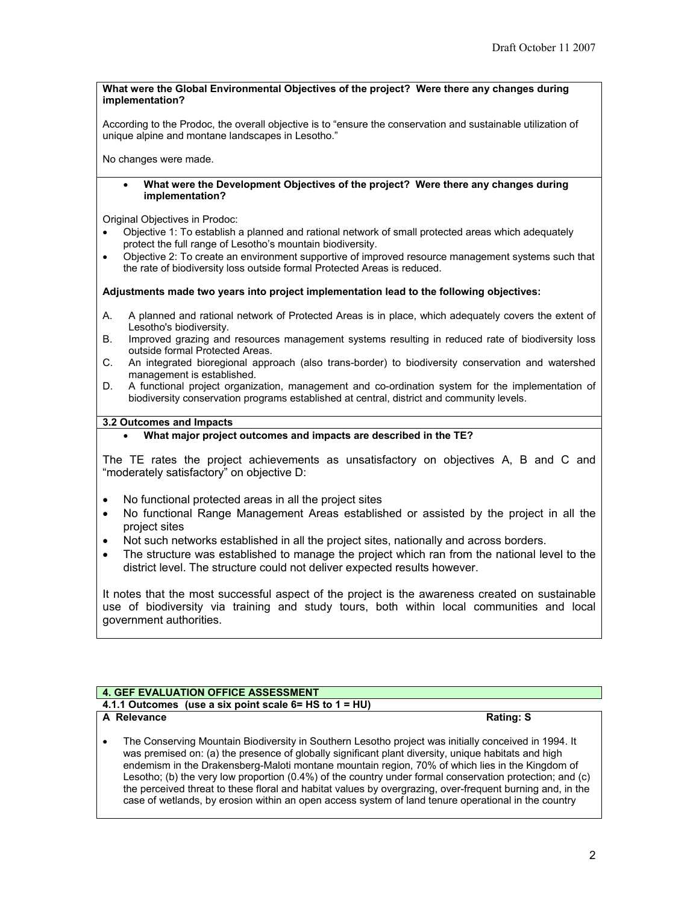#### **What were the Global Environmental Objectives of the project? Were there any changes during implementation?**

According to the Prodoc, the overall objective is to "ensure the conservation and sustainable utilization of unique alpine and montane landscapes in Lesotho."

No changes were made.

• **What were the Development Objectives of the project? Were there any changes during implementation?**

Original Objectives in Prodoc:

- Objective 1: To establish a planned and rational network of small protected areas which adequately protect the full range of Lesotho's mountain biodiversity.
- Objective 2: To create an environment supportive of improved resource management systems such that the rate of biodiversity loss outside formal Protected Areas is reduced.

#### **Adjustments made two years into project implementation lead to the following objectives:**

- A. A planned and rational network of Protected Areas is in place, which adequately covers the extent of Lesotho's biodiversity.
- B. Improved grazing and resources management systems resulting in reduced rate of biodiversity loss outside formal Protected Areas.
- C. An integrated bioregional approach (also trans-border) to biodiversity conservation and watershed management is established.
- D. A functional project organization, management and co-ordination system for the implementation of biodiversity conservation programs established at central, district and community levels.

#### **3.2 Outcomes and Impacts**

• **What major project outcomes and impacts are described in the TE?**

The TE rates the project achievements as unsatisfactory on objectives A, B and C and "moderately satisfactory" on objective D:

- No functional protected areas in all the project sites
- No functional Range Management Areas established or assisted by the project in all the project sites
- Not such networks established in all the project sites, nationally and across borders.
- The structure was established to manage the project which ran from the national level to the district level. The structure could not deliver expected results however.

It notes that the most successful aspect of the project is the awareness created on sustainable use of biodiversity via training and study tours, both within local communities and local government authorities.

### **4. GEF EVALUATION OFFICE ASSESSMENT**

**4.1.1 Outcomes (use a six point scale 6= HS to 1 = HU)** 

### **A** Relevance Rating: S

• The Conserving Mountain Biodiversity in Southern Lesotho project was initially conceived in 1994. It was premised on: (a) the presence of globally significant plant diversity, unique habitats and high endemism in the Drakensberg-Maloti montane mountain region, 70% of which lies in the Kingdom of Lesotho; (b) the very low proportion (0.4%) of the country under formal conservation protection; and (c) the perceived threat to these floral and habitat values by overgrazing, over-frequent burning and, in the case of wetlands, by erosion within an open access system of land tenure operational in the country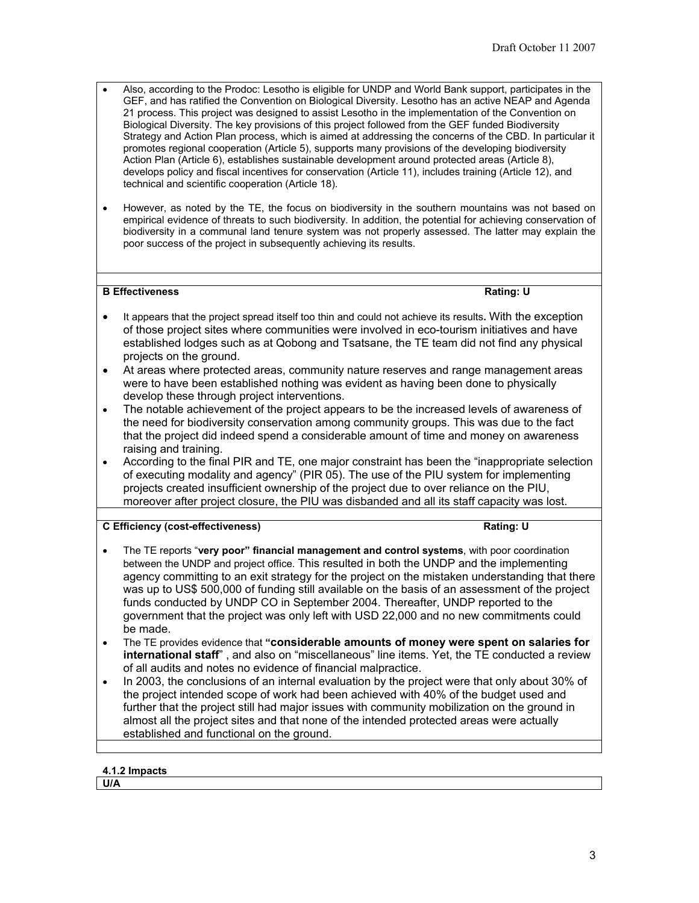- Also, according to the Prodoc: Lesotho is eligible for UNDP and World Bank support, participates in the GEF, and has ratified the Convention on Biological Diversity. Lesotho has an active NEAP and Agenda 21 process. This project was designed to assist Lesotho in the implementation of the Convention on Biological Diversity. The key provisions of this project followed from the GEF funded Biodiversity Strategy and Action Plan process, which is aimed at addressing the concerns of the CBD. In particular it promotes regional cooperation (Article 5), supports many provisions of the developing biodiversity Action Plan (Article 6), establishes sustainable development around protected areas (Article 8), develops policy and fiscal incentives for conservation (Article 11), includes training (Article 12), and technical and scientific cooperation (Article 18).
- However, as noted by the TE, the focus on biodiversity in the southern mountains was not based on empirical evidence of threats to such biodiversity. In addition, the potential for achieving conservation of biodiversity in a communal land tenure system was not properly assessed. The latter may explain the poor success of the project in subsequently achieving its results.

# **B Effectiveness** Rating: U

- It appears that the project spread itself too thin and could not achieve its results**.** With the exception of those project sites where communities were involved in eco-tourism initiatives and have established lodges such as at Qobong and Tsatsane, the TE team did not find any physical projects on the ground.
- At areas where protected areas, community nature reserves and range management areas were to have been established nothing was evident as having been done to physically develop these through project interventions.
- The notable achievement of the project appears to be the increased levels of awareness of the need for biodiversity conservation among community groups. This was due to the fact that the project did indeed spend a considerable amount of time and money on awareness raising and training.
- According to the final PIR and TE, one major constraint has been the "inappropriate selection of executing modality and agency" (PIR 05). The use of the PIU system for implementing projects created insufficient ownership of the project due to over reliance on the PIU, moreover after project closure, the PIU was disbanded and all its staff capacity was lost.

# **C Efficiency (cost-effectiveness) Rating: U**

- The TE reports "**very poor" financial management and control systems**, with poor coordination between the UNDP and project office. This resulted in both the UNDP and the implementing agency committing to an exit strategy for the project on the mistaken understanding that there was up to US\$ 500,000 of funding still available on the basis of an assessment of the project funds conducted by UNDP CO in September 2004. Thereafter, UNDP reported to the government that the project was only left with USD 22,000 and no new commitments could be made.
- The TE provides evidence that **"considerable amounts of money were spent on salaries for international staff**" , and also on "miscellaneous" line items. Yet, the TE conducted a review of all audits and notes no evidence of financial malpractice.
- In 2003, the conclusions of an internal evaluation by the project were that only about 30% of the project intended scope of work had been achieved with 40% of the budget used and further that the project still had major issues with community mobilization on the ground in almost all the project sites and that none of the intended protected areas were actually established and functional on the ground.

### **4.1.2 Impacts**

**U/A**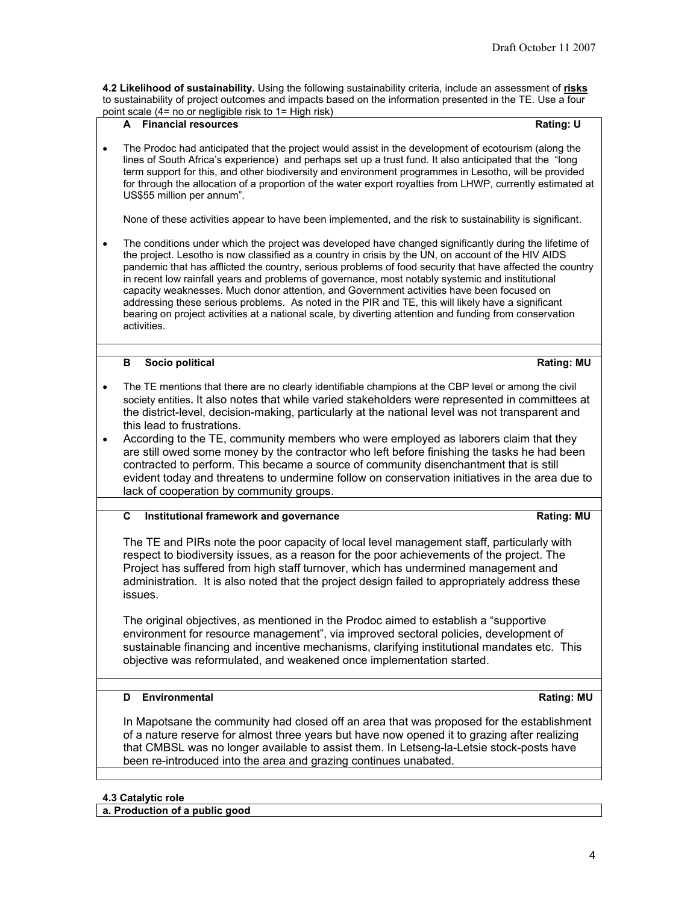**4.2 Likelihood of sustainability.** Using the following sustainability criteria, include an assessment of **risks** to sustainability of project outcomes and impacts based on the information presented in the TE. Use a four

|   | point scale (4= no or negligible risk to 1= High risk)                                                                                                                                                                                                                                                                                                                                                                                                                                                                                                                                                                                                                                                                                                      |                   |
|---|-------------------------------------------------------------------------------------------------------------------------------------------------------------------------------------------------------------------------------------------------------------------------------------------------------------------------------------------------------------------------------------------------------------------------------------------------------------------------------------------------------------------------------------------------------------------------------------------------------------------------------------------------------------------------------------------------------------------------------------------------------------|-------------------|
|   | A Financial resources                                                                                                                                                                                                                                                                                                                                                                                                                                                                                                                                                                                                                                                                                                                                       | <b>Rating: U</b>  |
|   | The Prodoc had anticipated that the project would assist in the development of ecotourism (along the<br>lines of South Africa's experience) and perhaps set up a trust fund. It also anticipated that the "long<br>term support for this, and other biodiversity and environment programmes in Lesotho, will be provided<br>for through the allocation of a proportion of the water export royalties from LHWP, currently estimated at<br>US\$55 million per annum".                                                                                                                                                                                                                                                                                        |                   |
|   | None of these activities appear to have been implemented, and the risk to sustainability is significant.                                                                                                                                                                                                                                                                                                                                                                                                                                                                                                                                                                                                                                                    |                   |
|   | The conditions under which the project was developed have changed significantly during the lifetime of<br>the project. Lesotho is now classified as a country in crisis by the UN, on account of the HIV AIDS<br>pandemic that has afflicted the country, serious problems of food security that have affected the country<br>in recent low rainfall years and problems of governance, most notably systemic and institutional<br>capacity weaknesses. Much donor attention, and Government activities have been focused on<br>addressing these serious problems. As noted in the PIR and TE, this will likely have a significant<br>bearing on project activities at a national scale, by diverting attention and funding from conservation<br>activities. |                   |
|   | Socio political<br>в                                                                                                                                                                                                                                                                                                                                                                                                                                                                                                                                                                                                                                                                                                                                        | <b>Rating: MU</b> |
|   | The TE mentions that there are no clearly identifiable champions at the CBP level or among the civil                                                                                                                                                                                                                                                                                                                                                                                                                                                                                                                                                                                                                                                        |                   |
|   | society entities. It also notes that while varied stakeholders were represented in committees at<br>the district-level, decision-making, particularly at the national level was not transparent and<br>this lead to frustrations.                                                                                                                                                                                                                                                                                                                                                                                                                                                                                                                           |                   |
| ٠ | According to the TE, community members who were employed as laborers claim that they<br>are still owed some money by the contractor who left before finishing the tasks he had been<br>contracted to perform. This became a source of community disenchantment that is still<br>evident today and threatens to undermine follow on conservation initiatives in the area due to<br>lack of cooperation by community groups.                                                                                                                                                                                                                                                                                                                                  |                   |
|   |                                                                                                                                                                                                                                                                                                                                                                                                                                                                                                                                                                                                                                                                                                                                                             |                   |
|   | Institutional framework and governance<br>C                                                                                                                                                                                                                                                                                                                                                                                                                                                                                                                                                                                                                                                                                                                 | <b>Rating: MU</b> |
|   | The TE and PIRs note the poor capacity of local level management staff, particularly with<br>respect to biodiversity issues, as a reason for the poor achievements of the project. The<br>Project has suffered from high staff turnover, which has undermined management and<br>administration. It is also noted that the project design failed to appropriately address these<br>issues.                                                                                                                                                                                                                                                                                                                                                                   |                   |
|   | The original objectives, as mentioned in the Prodoc aimed to establish a "supportive<br>environment for resource management", via improved sectoral policies, development of<br>sustainable financing and incentive mechanisms, clarifying institutional mandates etc. This<br>objective was reformulated, and weakened once implementation started.                                                                                                                                                                                                                                                                                                                                                                                                        |                   |
|   |                                                                                                                                                                                                                                                                                                                                                                                                                                                                                                                                                                                                                                                                                                                                                             |                   |
|   | Environmental<br>D                                                                                                                                                                                                                                                                                                                                                                                                                                                                                                                                                                                                                                                                                                                                          | <b>Rating: MU</b> |
|   | In Mapotsane the community had closed off an area that was proposed for the establishment<br>of a nature reserve for almost three years but have now opened it to grazing after realizing<br>that CMBSL was no longer available to assist them. In Letseng-la-Letsie stock-posts have<br>been re-introduced into the area and grazing continues unabated.                                                                                                                                                                                                                                                                                                                                                                                                   |                   |
|   |                                                                                                                                                                                                                                                                                                                                                                                                                                                                                                                                                                                                                                                                                                                                                             |                   |
|   |                                                                                                                                                                                                                                                                                                                                                                                                                                                                                                                                                                                                                                                                                                                                                             |                   |

**a. Production of a public good**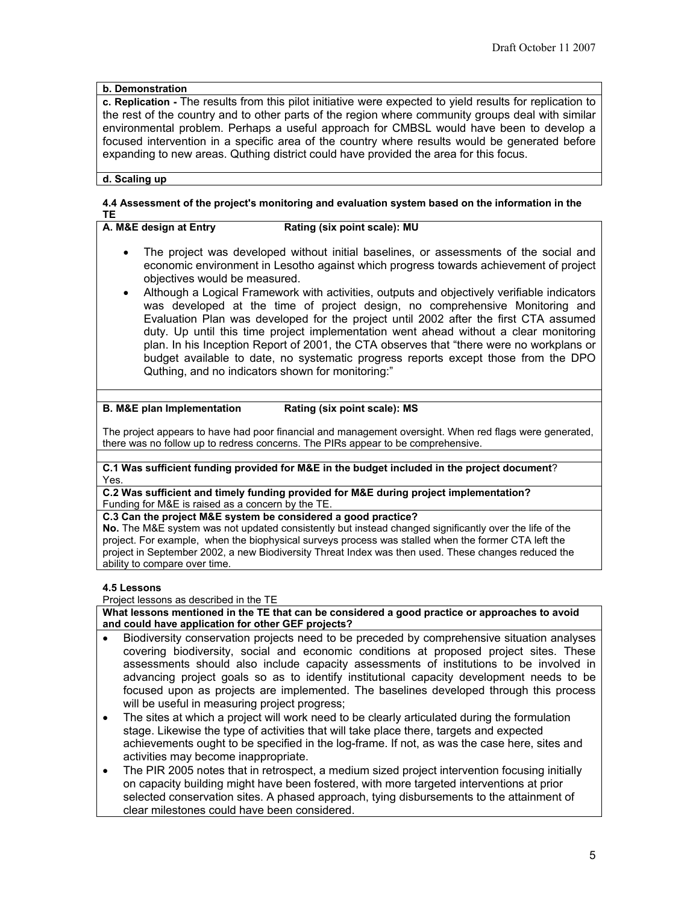# **b. Demonstration**

**c. Replication -** The results from this pilot initiative were expected to yield results for replication to the rest of the country and to other parts of the region where community groups deal with similar environmental problem. Perhaps a useful approach for CMBSL would have been to develop a focused intervention in a specific area of the country where results would be generated before expanding to new areas. Quthing district could have provided the area for this focus.

### **d. Scaling up**

# **4.4 Assessment of the project's monitoring and evaluation system based on the information in the TE**

 $Rating (six point scale): MU$ 

- The project was developed without initial baselines, or assessments of the social and economic environment in Lesotho against which progress towards achievement of project objectives would be measured.
- Although a Logical Framework with activities, outputs and objectively verifiable indicators was developed at the time of project design, no comprehensive Monitoring and Evaluation Plan was developed for the project until 2002 after the first CTA assumed duty. Up until this time project implementation went ahead without a clear monitoring plan. In his Inception Report of 2001, the CTA observes that "there were no workplans or budget available to date, no systematic progress reports except those from the DPO Quthing, and no indicators shown for monitoring:"

### **B. M&E plan Implementation Rating (six point scale): MS**

The project appears to have had poor financial and management oversight. When red flags were generated, there was no follow up to redress concerns. The PIRs appear to be comprehensive.

#### **C.1 Was sufficient funding provided for M&E in the budget included in the project document**? Yes.

**C.2 Was sufficient and timely funding provided for M&E during project implementation?** Funding for M&E is raised as a concern by the TE.

**C.3 Can the project M&E system be considered a good practice?**

**No.** The M&E system was not updated consistently but instead changed significantly over the life of the project. For example, when the biophysical surveys process was stalled when the former CTA left the project in September 2002, a new Biodiversity Threat Index was then used. These changes reduced the ability to compare over time.

### **4.5 Lessons**

Project lessons as described in the TE

**What lessons mentioned in the TE that can be considered a good practice or approaches to avoid and could have application for other GEF projects?**

- Biodiversity conservation projects need to be preceded by comprehensive situation analyses covering biodiversity, social and economic conditions at proposed project sites. These assessments should also include capacity assessments of institutions to be involved in advancing project goals so as to identify institutional capacity development needs to be focused upon as projects are implemented. The baselines developed through this process will be useful in measuring project progress;
- The sites at which a project will work need to be clearly articulated during the formulation stage. Likewise the type of activities that will take place there, targets and expected achievements ought to be specified in the log-frame. If not, as was the case here, sites and activities may become inappropriate.
- The PIR 2005 notes that in retrospect, a medium sized project intervention focusing initially on capacity building might have been fostered, with more targeted interventions at prior selected conservation sites. A phased approach, tying disbursements to the attainment of clear milestones could have been considered.